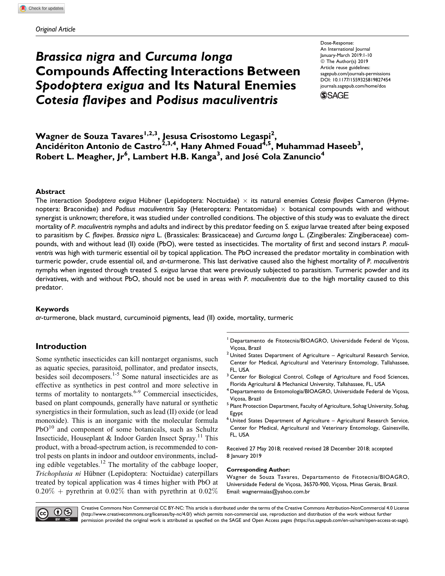# Brassica nigra and Curcuma longa Compounds Affecting Interactions Between Spodoptera exigua and Its Natural Enemies Cotesia flavipes and Podisus maculiventris

Dose-Response: An International Journal January-March 2019:1-10 © The Author(s) 2019 Article reuse guidelines: [sagepub.com/journals-permissions](https://sagepub.com/journals-permissions) [DOI: 10.1177/1559325819827454](https://doi.org/10.1177/1559325819827454) [journals.sagepub.com/home/dos](http://journals.sagepub.com/home/dos)

**SSAGE** 

Wagner de Souza Tavares<sup>1,2,3</sup>, Jesusa Crisostomo Legaspi<sup>2</sup>, Ancidériton Antonio de Castro $^{2,3,4}$ , Hany Ahmed Fouad $^{4,5}$ , Muhammad Haseeb $^3,$ Robert L. Meagher, Jr $^6$ , Lambert H.B. Kanga $^3$ , and José Cola Zanuncio $^4$ 

#### Abstract

The interaction Spodoptera exigua Hübner (Lepidoptera: Noctuidae)  $\times$  its natural enemies Cotesia flavipes Cameron (Hymenoptera: Braconidae) and Podisus maculiventris Say (Heteroptera: Pentatomidae)  $\times$  botanical compounds with and without synergist is unknown; therefore, it was studied under controlled conditions. The objective of this study was to evaluate the direct mortality of P. maculiventris nymphs and adults and indirect by this predator feeding on S. exigua larvae treated after being exposed to parasitism by C. flavipes. Brassica nigra L. (Brassicales: Brassicaceae) and Curcuma longa L. (Zingiberales: Zingiberaceae) compounds, with and without lead (II) oxide (PbO), were tested as insecticides. The mortality of first and second instars P. maculiventris was high with turmeric essential oil by topical application. The PbO increased the predator mortality in combination with turmeric powder, crude essential oil, and ar-turmerone. This last derivative caused also the highest mortality of P. maculiventris nymphs when ingested through treated S. exigua larvae that were previously subjected to parasitism. Turmeric powder and its derivatives, with and without PbO, should not be used in areas with P. maculiventris due to the high mortality caused to this predator.

#### Keywords

ar-turmerone, black mustard, curcuminoid pigments, lead (II) oxide, mortality, turmeric

# Introduction

Some synthetic insecticides can kill nontarget organisms, such as aquatic species, parasitoid, pollinator, and predator insects, besides soil decomposers.1-5 Some natural insecticides are as effective as synthetics in pest control and more selective in terms of mortality to nontargets. $6-9$  Commercial insecticides, based on plant compounds, generally have natural or synthetic synergistics in their formulation, such as lead (II) oxide (or lead monoxide). This is an inorganic with the molecular formula  $PbO<sup>10</sup>$  and component of some botanicals, such as Schultz Insecticide, Houseplant & Indoor Garden Insect Spray.<sup>11</sup> This product, with a broad-spectrum action, is recommended to control pests on plants in indoor and outdoor environments, including edible vegetables.<sup>12</sup> The mortality of the cabbage looper, Trichoplusia ni Hübner (Lepidoptera: Noctuidae) caterpillars treated by topical application was 4 times higher with PbO at  $0.20\%$  + pyrethrin at 0.02% than with pyrethrin at 0.02%

- <sup>1</sup> Departamento de Fitotecnia/BIOAGRO, Universidade Federal de Viçosa,
- Viçosa, Brazil<br><sup>2</sup> United States Department of Agriculture Agricultural Research Service, Center for Medical, Agricultural and Veterinary Entomology, Tallahassee, FL, USA
- <sup>3</sup> Center for Biological Control, College of Agriculture and Food Sciences, Florida Agricultural & Mechanical University, Tallahassee, FL, USA
- $^4$  Departamento de Entomologia/BIOAGRO, Universidade Federal de Viçosa,
- Viçosa, Brazil<br><sup>5</sup> Plant Protection Department, Faculty of Agriculture, Sohag University, Sohag, Egypt
- <sup>6</sup> United States Department of Agriculture Agricultural Research Service, Center for Medical, Agricultural and Veterinary Entomology, Gainesville, FL, USA

Received 27 May 2018; received revised 28 December 2018; accepted 8 January 2019

#### Corresponding Author:

Wagner de Souza Tavares, Departamento de Fitotecnia/BIOAGRO, Universidade Federal de Viçosa, 36570-900, Viçosa, Minas Gerais, Brazil. Email: [wagnermaias@yahoo.com.br](mailto:wagnermaias@yahoo.com.br)



Creative Commons Non Commercial CC BY-NC: This article is distributed under the terms of the Creative Commons Attribution-NonCommercial 4.0 License (http://www.creativecommons.org/licenses/by-nc/4.0/) which permits non-commercial use, reproduction and distribution of the work without further permission provided the original work is attributed as specified on the SAGE and Open Access pages (https://us.sagepub.com/en-us/nam/open-access-at-sage).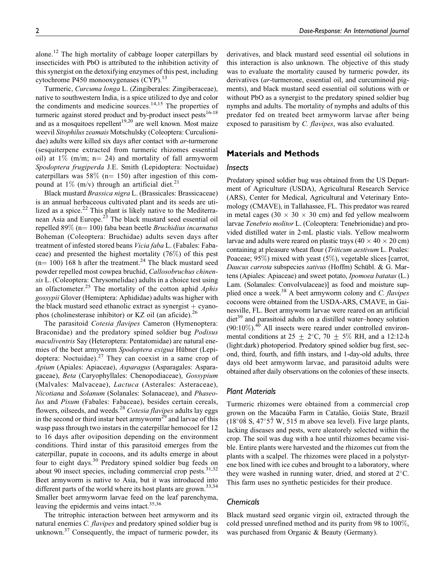alone.12 The high mortality of cabbage looper caterpillars by insecticides with PbO is attributed to the inhibition activity of this synergist on the detoxifying enzymes of this pest, including cytochrome P450 monooxygenases (CYP).<sup>13</sup>

Turmeric, Curcuma longa L. (Zingiberales: Zingiberaceae), native to southwestern India, is a spice utilized to dye and color the condiments and medicine sources. $14,15$  The properties of turmeric against stored product and by-product insect pests<sup>16-18</sup> and as a mosquitoes repellent<sup>19,20</sup> are well known. Most maize weevil Sitophilus zeamais Motschulsky (Coleoptera: Curculionidae) adults were killed six days after contact with *ar*-turmerone (sesquiterpene extracted from turmeric rhizomes essential oil) at  $1\%$  (m/m; n= 24) and mortality of fall armyworm Spodoptera frugiperda J.E. Smith (Lepidoptera: Noctuidae) caterpillars was 58% ( $n=150$ ) after ingestion of this compound at  $1\%$  (m/v) through an artificial diet.<sup>21</sup>

Black mustard Brassica nigra L. (Brassicales: Brassicaceae) is an annual herbaceous cultivated plant and its seeds are utilized as a spice. $22$  This plant is likely native to the Mediterranean Asia and Europe.<sup>23</sup> The black mustard seed essential oil repelled 89% (n= 100) faba bean beetle Bruchidius incarnatus Boheman (Coleoptera: Bruchidae) adults seven days after treatment of infested stored beans Vicia faba L. (Fabales: Fabaceae) and presented the highest mortality (76%) of this pest  $(n= 100)$  168 h after the treatment.<sup>24</sup> The black mustard seed powder repelled most cowpea bruchid, Callosobruchus chinensis L. (Coleoptera: Chrysomelidae) adults in a choice test using an olfactometer.<sup>25</sup> The mortality of the cotton aphid Aphis gossypii Glover (Hemiptera: Aphididae) adults was higher with the black mustard seed ethanolic extract as synergist  $+$  cyanophos (cholinesterase inhibitor) or KZ oil (an aficide).<sup>26</sup>

The parasitoid Cotesia flavipes Cameron (Hymenoptera: Braconidae) and the predatory spined soldier bug Podisus maculiventris Say (Heteroptera: Pentatomidae) are natural enemies of the beet armyworm Spodoptera exigua Hübner (Lepidoptera: Noctuidae). $27$  They can coexist in a same crop of Apium (Apiales: Apiaceae), Asparagus (Asparagales: Asparagaceae), Beta (Caryophyllales: Chenopodiaceae), Gossypium (Malvales: Malvaceae), Lactuca (Asterales: Asteraceae), Nicotiana and Solanum (Solanales: Solanaceae), and Phaseolus and Pisum (Fabales: Fabaceae), besides certain cereals, flowers, oilseeds, and weeds.<sup>28</sup> Cotesia flavipes adults lay eggs in the second or third instar beet armyworm<sup>29</sup> and larvae of this wasp pass through two instars in the caterpillar hemocoel for 12 to 16 days after oviposition depending on the environment conditions. Third instar of this parasitoid emerges from the caterpillar, pupate in cocoons, and its adults emerge in about four to eight days.<sup>30</sup> Predatory spined soldier bug feeds on about 90 insect species, including commercial crop pests. $31,32$ Beet armyworm is native to Asia, but it was introduced into different parts of the world where its host plants are grown.<sup>33,34</sup> Smaller beet armyworm larvae feed on the leaf parenchyma, leaving the epidermis and veins intact.<sup>35,36</sup>

The tritrophic interaction between beet armyworm and its natural enemies C. flavipes and predatory spined soldier bug is unknown. $37$  Consequently, the impact of turmeric powder, its derivatives, and black mustard seed essential oil solutions in this interaction is also unknown. The objective of this study was to evaluate the mortality caused by turmeric powder, its derivatives (ar-turmerone, essential oil, and curcuminoid pigments), and black mustard seed essential oil solutions with or without PbO as a synergist to the predatory spined soldier bug nymphs and adults. The mortality of nymphs and adults of this predator fed on treated beet armyworm larvae after being exposed to parasitism by C. flavipes, was also evaluated.

## Materials and Methods

#### Insects

Predatory spined soldier bug was obtained from the US Department of Agriculture (USDA), Agricultural Research Service (ARS), Center for Medical, Agricultural and Veterinary Entomology (CMAVE), in Tallahassee, FL. This predator was reared in metal cages ( $30 \times 30 \times 30$  cm) and fed yellow mealworm larvae Tenebrio molitor L. (Coleoptera: Tenebrionidae) and provided distilled water in 2-mL plastic vials. Yellow mealworm larvae and adults were reared on plastic trays (40  $\times$  40  $\times$  20 cm) containing at pleasure wheat flour *(Triticum aestivum L. Poales:* Poaceae; 95%) mixed with yeast (5%), vegetable slices [carrot, Daucus carrota subspecies sativus (Hoffm) Schübl. & G. Martens (Apiales: Apiaceae) and sweet potato, Ipomoea batatas (L.) Lam. (Solanales: Convolvulaceae)] as food and moisture supplied once a week.<sup>38</sup> A beet armyworm colony and C. *flavipes* cocoons were obtained from the USDA-ARS, CMAVE, in Gainesville, FL. Beet armyworm larvae were reared on an artificial  $\text{dist}^{39}$  and parasitoid adults on a distilled water–honey solution  $(90:10\%)$ .<sup>40</sup> All insects were reared under controlled environmental conditions at  $25 \pm 2^{\circ}\text{C}$ ,  $70 \pm 5\%$  RH, and a 12:12-h (light:dark) photoperiod. Predatory spined soldier bug first, second, third, fourth, and fifth instars, and 1-day-old adults, three days old beet armyworm larvae, and parasitoid adults were obtained after daily observations on the colonies of these insects.

#### Plant Materials

Turmeric rhizomes were obtained from a commercial crop grown on the Macaúba Farm in Catalão, Goiás State, Brazil  $(18^{\circ}0\dot{8} \text{ S}, 47^{\circ}5\dot{7} \text{ W}, 515 \text{ m}$  above sea level). Five large plants, lacking diseases and pests, were aleatorely selected within the crop. The soil was dug with a hoe until rhizomes became visible. Entire plants were harvested and the rhizomes cut from the plants with a scalpel. The rhizomes were placed in a polystyrene box lined with ice cubes and brought to a laboratory, where they were washed in running water, dried, and stored at  $2^{\circ}$ C. This farm uses no synthetic pesticides for their produce.

#### Chemicals

Black mustard seed organic virgin oil, extracted through the cold pressed unrefined method and its purity from 98 to  $100\%$ , was purchased from Organic & Beauty (Germany).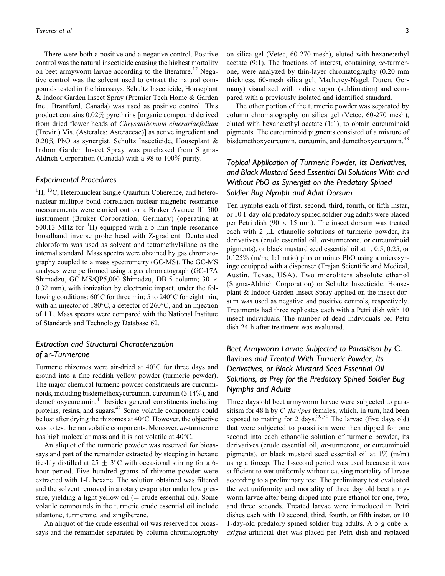There were both a positive and a negative control. Positive control was the natural insecticide causing the highest mortality on beet armyworm larvae according to the literature.<sup>12</sup> Negative control was the solvent used to extract the natural compounds tested in the bioassays. Schultz Insecticide, Houseplant & Indoor Garden Insect Spray (Premier Tech Home & Garden Inc., Brantford, Canada) was used as positive control. This product contains 0.02% pyrethrins [organic compound derived from dried flower heads of Chrysanthemum cinerariaefolium (Trevir.) Vis. (Asterales: Asteraceae)] as active ingredient and 0.20% PbO as synergist. Schultz Insecticide, Houseplant & Indoor Garden Insect Spray was purchased from Sigma-Aldrich Corporation (Canada) with a 98 to 100% purity.

#### Experimental Procedures

<sup>1</sup>H, <sup>13</sup>C, Heteronuclear Single Quantum Coherence, and heteronuclear multiple bond correlation-nuclear magnetic resonance measurements were carried out on a Bruker Avance III 500 instrument (Bruker Corporation, Germany) (operating at 500.13 MHz for  ${}^{1}$ H) equipped with a 5 mm triple resonance broadband inverse probe head with Z-gradient. Deuterated chloroform was used as solvent and tetramethylsilane as the internal standard. Mass spectra were obtained by gas chromatography coupled to a mass spectrometry (GC-MS). The GC-MS analyses were performed using a gas chromatograph (GC-17A Shimadzu, GC-MS/QP5,000 Shimadzu, DB-5 column; 30  $\times$ 0.32 mm), with ionization by electronic impact, under the following conditions:  $60^{\circ}$ C for three min; 5 to 240 $^{\circ}$ C for eight min, with an injector of  $180^{\circ}$ C, a detector of  $260^{\circ}$ C, and an injection of 1 L. Mass spectra were compared with the National Institute of Standards and Technology Database 62.

# Extraction and Structural Characterization of ar-Turmerone

Turmeric rhizomes were air-dried at  $40^{\circ}$ C for three days and ground into a fine reddish yellow powder (turmeric powder). The major chemical turmeric powder constituents are curcuminoids, including bisdemethoxycurcumin, curcumin (3.14%), and demethoxycurcumin,<sup>41</sup> besides general constituents including proteins, resins, and sugars.42 Some volatile components could be lost after drying the rhizomes at  $40^{\circ}$ C. However, the objective was to test the nonvolatile components. Moreover, ar-turmerone has high molecular mass and it is not volatile at  $40^{\circ}$ C.

An aliquot of the turmeric powder was reserved for bioassays and part of the remainder extracted by steeping in hexane freshly distilled at 25  $\pm$  3°C with occasional stirring for a 6hour period. Five hundred grams of rhizome powder were extracted with 1-L hexane. The solution obtained was filtered and the solvent removed in a rotary evaporator under low pressure, yielding a light yellow oil ( $=$  crude essential oil). Some volatile compounds in the turmeric crude essential oil include atlantone, turmerone, and zingiberene.

An aliquot of the crude essential oil was reserved for bioassays and the remainder separated by column chromatography on silica gel (Vetec, 60-270 mesh), eluted with hexane:ethyl acetate (9:1). The fractions of interest, containing ar-turmerone, were analyzed by thin-layer chromatography (0.20 mm thickness, 60-mesh silica gel; Macherey-Nagel, Duren, Germany) visualized with iodine vapor (sublimation) and compared with a previously isolated and identified standard.

The other portion of the turmeric powder was separated by column chromatography on silica gel (Vetec, 60-270 mesh), eluted with hexane:ethyl acetate (1:1), to obtain curcuminoid pigments. The curcuminoid pigments consisted of a mixture of bisdemethoxycurcumin, curcumin, and demethoxycurcumin.<sup>43</sup>

# Topical Application of Turmeric Powder, Its Derivatives, and Black Mustard Seed Essential Oil Solutions With and Without PbO as Synergist on the Predatory Spined Soldier Bug Nymph and Adult Dorsum

Ten nymphs each of first, second, third, fourth, or fifth instar, or 10 1-day-old predatory spined soldier bug adults were placed per Petri dish (90  $\times$  15 mm). The insect dorsum was treated each with  $2 \mu L$  ethanolic solutions of turmeric powder, its derivatives (crude essential oil, ar-turmerone, or curcuminoid pigments), or black mustard seed essential oil at 1, 0.5, 0.25, or  $0.125\%$  (m/m; 1:1 ratio) plus or minus PbO using a microsyringe equipped with a dispenser (Trajan Scientific and Medical, Austin, Texas, USA). Two microliters absolute ethanol (Sigma-Aldrich Corporation) or Schultz Insecticide, Houseplant & Indoor Garden Insect Spray applied on the insect dorsum was used as negative and positive controls, respectively. Treatments had three replicates each with a Petri dish with 10 insect individuals. The number of dead individuals per Petri dish 24 h after treatment was evaluated.

# Beet Armyworm Larvae Subjected to Parasitism by C. flavipes and Treated With Turmeric Powder, Its Derivatives, or Black Mustard Seed Essential Oil Solutions, as Prey for the Predatory Spined Soldier Bug Nymphs and Adults

Three days old beet armyworm larvae were subjected to parasitism for 48 h by *C. flavipes* females, which, in turn, had been exposed to mating for  $2$  days.<sup>29,30</sup> The larvae (five days old) that were subjected to parasitism were then dipped for one second into each ethanolic solution of turmeric powder, its derivatives (crude essential oil, ar-turmerone, or curcuminoid pigments), or black mustard seed essential oil at  $1\%$  (m/m) using a forcep. The 1-second period was used because it was sufficient to wet uniformly without causing mortality of larvae according to a preliminary test. The preliminary test evaluated the wet uniformity and mortality of three day old beet armyworm larvae after being dipped into pure ethanol for one, two, and three seconds. Treated larvae were introduced in Petri dishes each with 10 second, third, fourth, or fifth instar, or 10 1-day-old predatory spined soldier bug adults. A 5 g cube S. exigua artificial diet was placed per Petri dish and replaced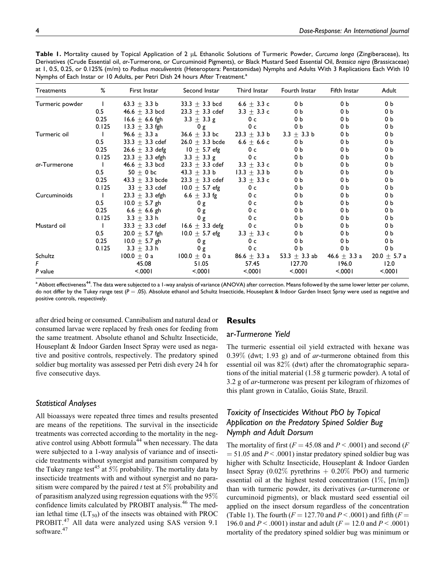Table 1. Mortality caused by Topical Application of 2 µL Ethanolic Solutions of Turmeric Powder, Curcuma longa (Zingiberaceae), Its Derivatives (Crude Essential oil, ar-Turmerone, or Curcuminoid Pigments), or Black Mustard Seed Essential Oil, Brassica nigra (Brassicaceae) at 1, 0.5, 0.25, or 0.125% (m/m) to Podisus maculiventris (Heteroptera: Pentatomidae) Nymphs and Adults With 3 Replications Each With 10 Nymphs of Each Instar or 10 Adults, per Petri Dish 24 hours After Treatment.<sup>a</sup>

| <b>Treatments</b> | %            | First Instar        | Second Instar       | Third Instar    | Fourth Instar                | Fifth Instar     | Adult            |
|-------------------|--------------|---------------------|---------------------|-----------------|------------------------------|------------------|------------------|
| Turmeric powder   | $\mathbf{I}$ | 63.3 $\pm$ 3.3 b    | $33.3 \pm 3.3$ bcd  | 6.6 $\pm$ 3.3 c | 0 <sub>b</sub>               | 0 <sub>b</sub>   | 0 <sub>b</sub>   |
|                   | 0.5          | 46.6 $\pm$ 3.3 bcd  | $23.3 \pm 3.3$ cdef | 3.3 $\pm$ 3.3 c | 0 b                          | 0 b              | 0 b              |
|                   | 0.25         | $16.6 \pm 6.6$ fgh  | $3.3 \pm 3.3$ g     | 0 <sub>c</sub>  | 0 b                          | 0 b              | 0 b              |
|                   | 0.125        | $13.3 \pm 3.3$ fgh  | 0 g                 | 0 с             | 0 b                          | 0 b              | 0 b              |
| Turmeric oil      | $\mathbf{I}$ | 96.6 $\pm$ 3.3 a    | $36.6 \pm 3.3$ bc   | $23.3 + 3.3 b$  | $3.3 \pm 3.3 b$              | 0 <sub>b</sub>   | 0 b              |
|                   | 0.5          | $33.3 + 3.3$ cdef   | $26.0 \pm 3.3$ bcde | 6.6 $\pm$ 6.6 c | 0 b                          | 0 b              | 0 b              |
|                   | 0.25         | $26.6 \pm 3.3$ defg | $10 + 5.7$ efg      | 0 <sub>c</sub>  | 0 <sub>b</sub>               | 0 <sub>b</sub>   | 0 b              |
|                   | 0.125        | $23.3 \pm 3.3$ efgh | $3.3 \pm 3.3$ g     | 0 <sub>c</sub>  | 0 <sub>b</sub>               | 0 <sub>b</sub>   | 0 b              |
| ar-Turmerone      | $\mathbf{I}$ | 46.6 $\pm$ 3.3 bcd  | $23.3 \pm 3.3$ cdef | 3.3 $\pm$ 3.3 c | 0 <sub>b</sub>               | 0 <sub>b</sub>   | 0 b              |
|                   | 0.5          | $50 + 0$ bc         | $43.3 \pm 3.3 b$    | $13.3 + 3.3 b$  | 0 <sub>b</sub>               | 0 b              | 0 b              |
|                   | 0.25         | 43.3 $\pm$ 3.3 bcde | $23.3 \pm 3.3$ cdef | $3.3 \pm 3.3$ c | 0 b                          | 0 b              | 0 b              |
|                   | 0.125        | $33 + 3.3$ cdef     | $10.0 + 5.7$ efg    | 0 <sub>c</sub>  | 0 b                          | 0 b              | 0 b              |
| Curcuminoids      | $\perp$      | $23.3 \pm 3.3$ efgh | 6.6 $\pm$ 3.3 fg    | 0 с             | 0 <sub>b</sub>               | 0 <sub>b</sub>   | 0 b              |
|                   | 0.5          | $10.0 \pm 5.7$ gh   | 0g                  | 0 <sub>c</sub>  | 0 <sub>b</sub>               | 0 b              | 0 b              |
|                   | 0.25         | 6.6 $\pm$ 6.6 gh    | 0g                  | 0 с             | 0 b                          | 0 b              | 0 b              |
|                   | 0.125        | $3.3 \pm 3.3$ h     | 0g                  | 0 <sub>c</sub>  | 0 <sub>b</sub>               | 0 <sub>b</sub>   | 0 b              |
| Mustard oil       | $\mathbf{I}$ | $33.3 \pm 3.3$ cdef | 16.6 $\pm$ 3.3 defg | 0 с             | 0 <sub>b</sub>               | 0 <sub>b</sub>   | 0 b              |
|                   | 0.5          | $20.0 \pm 5.7$ fgh  | $10.0 \pm 5.7$ efg  | $3.3 \pm 3.3$ c | 0 b                          | 0 b              | 0 b              |
|                   | 0.25         | $10.0 \pm 5.7$ gh   | 0g                  | 0 <sub>c</sub>  | 0 <sub>b</sub>               | 0 b              | 0 b              |
|                   | 0.125        | $3.3 \pm 3.3$ h     | 0g                  | 0 <sub>c</sub>  | 0 b                          | 0 b              | 0 b              |
| Schultz           |              | $100.0 \pm 0$ a     | $100.0 \pm 0 a$     |                 | $86.6 + 3.3$ a 53.3 + 3.3 ab | 46.6 $\pm$ 3.3 a | $20.0 \pm 5.7$ a |
| F                 |              | 45.08               | 51.05               | 57.45           | 127.70                       | 196.0            | 12.0             |
| P value           |              | < .0001             | < .0001             | < 0001          | < 0001                       | < 0001           | < 0001           |

 $^{\rm a}$  Abbott effectiveness $^{44}$ . The data were subjected to a 1-way analysis of variance (ANOVA) after correction. Means followed by the same lower letter per column, do not differ by the Tukey range test  $(P = .05)$ . Absolute ethanol and Schultz Insecticide, Houseplant & Indoor Garden Insect Spray were used as negative and positive controls, respectively.

after dried being or consumed. Cannibalism and natural dead or consumed larvae were replaced by fresh ones for feeding from the same treatment. Absolute ethanol and Schultz Insecticide, Houseplant & Indoor Garden Insect Spray were used as negative and positive controls, respectively. The predatory spined soldier bug mortality was assessed per Petri dish every 24 h for five consecutive days.

# Statistical Analyses

All bioassays were repeated three times and results presented are means of the repetitions. The survival in the insecticide treatments was corrected according to the mortality in the negative control using Abbott formula<sup>44</sup> when necessary. The data were subjected to a 1-way analysis of variance and of insecticide treatments without synergist and parasitism compared by the Tukey range test<sup>45</sup> at 5% probability. The mortality data by insecticide treatments with and without synergist and no parasitism were compared by the paired  $t$  test at 5% probability and of parasitism analyzed using regression equations with the 95% confidence limits calculated by PROBIT analysis.<sup>46</sup> The median lethal time  $(LT_{50})$  of the insects was obtained with PROC PROBIT.<sup>47</sup> All data were analyzed using SAS version 9.1 software.<sup>47</sup>

# **Results**

### ar-Turmerone Yield

The turmeric essential oil yield extracted with hexane was  $0.39\%$  (dwt; 1.93 g) and of *ar*-turmerone obtained from this essential oil was 82% (dwt) after the chromatographic separations of the initial material (1.58 g turmeric powder). A total of 3.2 g of ar-turmerone was present per kilogram of rhizomes of this plant grown in Catalão, Goiás State, Brazil.

# Toxicity of Insecticides Without PbO by Topical Application on the Predatory Spined Soldier Bug Nymph and Adult Dorsum

The mortality of first ( $F = 45.08$  and  $P < .0001$ ) and second ( $F$  $= 51.05$  and  $P < .0001$ ) instar predatory spined soldier bug was higher with Schultz Insecticide, Houseplant & Indoor Garden Insect Spray (0.02% pyrethrins  $+$  0.20% PbO) and turmeric essential oil at the highest tested concentration  $(1\%, \, [\text{m/m}])$ than with turmeric powder, its derivatives (ar-turmerone or curcuminoid pigments), or black mustard seed essential oil applied on the insect dorsum regardless of the concentration (Table 1). The fourth ( $F = 127.70$  and  $P < .0001$ ) and fifth ( $F =$ 196.0 and  $P < .0001$ ) instar and adult ( $F = 12.0$  and  $P < .0001$ ) mortality of the predatory spined soldier bug was minimum or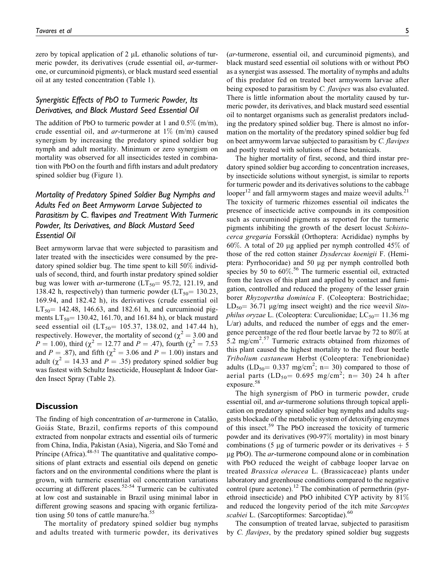zero by topical application of 2  $\mu$ L ethanolic solutions of turmeric powder, its derivatives (crude essential oil, ar-turmerone, or curcuminoid pigments), or black mustard seed essential oil at any tested concentration (Table 1).

# Synergistic Effects of PbO to Turmeric Powder, Its Derivatives, and Black Mustard Seed Essential Oil

The addition of PbO to turmeric powder at 1 and 0.5% (m/m), crude essential oil, and *ar*-turmerone at  $1\%$  (m/m) caused synergism by increasing the predatory spined soldier bug nymph and adult mortality. Minimum or zero synergism on mortality was observed for all insecticides tested in combination with PbO on the fourth and fifth instars and adult predatory spined soldier bug (Figure 1).

# Mortality of Predatory Spined Soldier Bug Nymphs and Adults Fed on Beet Armyworm Larvae Subjected to Parasitism by C. flavipes and Treatment With Turmeric Powder, Its Derivatives, and Black Mustard Seed Essential Oil

Beet armyworm larvae that were subjected to parasitism and later treated with the insecticides were consumed by the predatory spined soldier bug. The time spent to kill 50% individuals of second, third, and fourth instar predatory spined soldier bug was lower with ar-turmerone ( $LT_{50}$ = 95.72, 121.19, and 138.42 h, respectively) than turmeric powder  $(LT_{50} = 130.23,$ 169.94, and 182.42 h), its derivatives (crude essential oil  $LT_{50}$  = 142.48, 146.63, and 182.61 h, and curcuminoid pigments  $LT_{50}$  = 130.42, 161.70, and 161.84 h), or black mustard seed essential oil  $(LT_{50} = 105.37, 138.02,$  and 147.44 h), respectively. However, the mortality of second ( $\chi^2 = 3.00$  and  $P = 1.00$ ), third ( $\chi^2 = 12.77$  and  $P = .47$ ), fourth ( $\chi^2 = 7.53$ ) and  $P = .87$ ), and fifth ( $\chi^2 = 3.06$  and  $P = 1.00$ ) instars and adult ( $\chi^2$  = 14.33 and P = .35) predatory spined soldier bug was fastest with Schultz Insecticide, Houseplant & Indoor Garden Insect Spray (Table 2).

## **Discussion**

The finding of high concentration of ar-turmerone in Catalão, Goiás State, Brazil, confirms reports of this compound extracted from nonpolar extracts and essential oils of turmeric from China, India, Pakistan (Asia), Nigeria, and São Tomé and Príncipe (Africa). $48-51$  The quantitative and qualitative compositions of plant extracts and essential oils depend on genetic factors and on the environmental conditions where the plant is grown, with turmeric essential oil concentration variations occurring at different places.<sup>52-54</sup> Turmeric can be cultivated at low cost and sustainable in Brazil using minimal labor in different growing seasons and spacing with organic fertilization using 50 tons of cattle manure/ha. $55$ 

The mortality of predatory spined soldier bug nymphs and adults treated with turmeric powder, its derivatives (ar-turmerone, essential oil, and curcuminoid pigments), and black mustard seed essential oil solutions with or without PbO as a synergist was assessed. The mortality of nymphs and adults of this predator fed on treated beet armyworm larvae after being exposed to parasitism by C. flavipes was also evaluated. There is little information about the mortality caused by turmeric powder, its derivatives, and black mustard seed essential oil to nontarget organisms such as generalist predators including the predatory spined soldier bug. There is almost no information on the mortality of the predatory spined soldier bug fed on beet armyworm larvae subjected to parasitism by C. flavipes and postly treated with solutions of these botanicals.

The higher mortality of first, second, and third instar predatory spined soldier bug according to concentration increases, by insecticide solutions without synergist, is similar to reports for turmeric powder and its derivatives solutions to the cabbage looper<sup>12</sup> and fall armyworm stages and maize weevil adults.<sup>21</sup> The toxicity of turmeric rhizomes essential oil indicates the presence of insecticide active compounds in its composition such as curcuminoid pigments as reported for the turmeric pigments inhibiting the growth of the desert locust Schistocerca gregaria Forsskål (Orthoptera: Acrididae) nymphs by 60%. A total of 20 µg applied per nymph controlled  $45\%$  of those of the red cotton stainer Dysdercus koenigii F. (Hemiptera: Pyrrhocoridae) and 50 mg per nymph controlled both species by 50 to  $60\%$ .<sup>56</sup> The turmeric essential oil, extracted from the leaves of this plant and applied by contact and fumigation, controlled and reduced the progeny of the lesser grain borer Rhyzopertha dominica F. (Coleoptera: Bostrichidae;  $LD_{50} = 36.71$  µg/mg insect weight) and the rice weevil Sito*philus oryzae* L. (Coleoptera: Curculionidae;  $LC_{50} = 11.36$  mg L/ar) adults, and reduced the number of eggs and the emergence percentage of the red flour beetle larvae by 72 to 80% at 5.2 mg/cm<sup>2</sup>.<sup>57</sup> Turmeric extracts obtained from rhizomes of this plant caused the highest mortality to the red flour beetle Tribolium castaneum Herbst (Coleoptera: Tenebrionidae) adults (LD<sub>50</sub> = 0.337 mg/cm<sup>2</sup>; n = 30) compared to those of aerial parts  $(LD_{50} = 0.695$  mg/cm<sup>2</sup>; n= 30) 24 h after exposure.<sup>58</sup>

The high synergism of PbO in turmeric powder, crude essential oil, and *ar*-turmerone solutions through topical application on predatory spined soldier bug nymphs and adults suggests blockade of the metabolic system of detoxifying enzymes of this insect.<sup>59</sup> The PbO increased the toxicity of turmeric powder and its derivatives (90-97% mortality) in most binary combinations (5 µg of turmeric powder or its derivatives  $+ 5$  $\mu$ g PbO). The *ar*-turmerone compound alone or in combination with PbO reduced the weight of cabbage looper larvae on treated Brassica oleracea L. (Brassicaceae) plants under laboratory and greenhouse conditions compared to the negative control (pure acetone).<sup>12</sup> The combination of permethrin (pyrethroid insecticide) and PbO inhibited CYP activity by 81% and reduced the longevity period of the itch mite Sarcoptes scabiei L. (Sarcoptiformes: Sarcoptidae).<sup>60</sup>

The consumption of treated larvae, subjected to parasitism by C. flavipes, by the predatory spined soldier bug suggests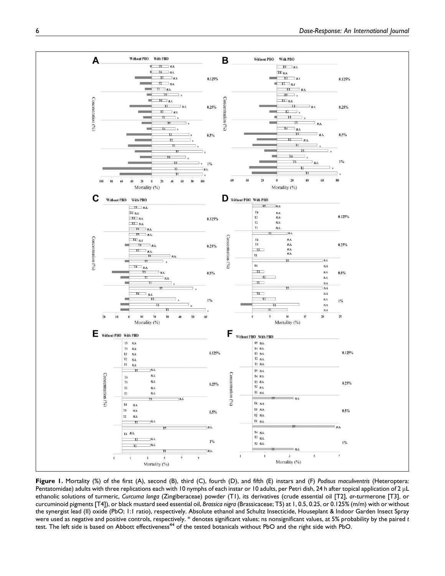

Figure 1. Mortality (%) of the first (A), second (B), third (C), fourth (D), and fifth (E) instars and (F) Podisus maculiventris (Heteroptera: Pentatomidae) adults with three replications each with 10 nymphs of each instar or 10 adults, per Petri dish, 24 h after topical application of 2 µL ethanolic solutions of turmeric, Curcuma longa (Zingiberaceae) powder (T1), its derivatives (crude essential oil [T2], ar-turmerone [T3], or curcuminoid pigments [T4]), or black mustard seed essential oil, Brassica nigra (Brassicaceae; T5) at 1, 0.5, 0.25, or 0.125% (m/m) with or without the synergist lead (II) oxide (PbO; 1:1 ratio), respectively. Absolute ethanol and Schultz Insecticide, Houseplant & Indoor Garden Insect Spray were used as negative and positive controls, respectively. \* denotes significant values; ns nonsignificant values, at 5% probability by the paired t test. The left side is based on Abbott effectiveness<sup>44</sup> of the tested botanicals without PbO and the right side with PbO.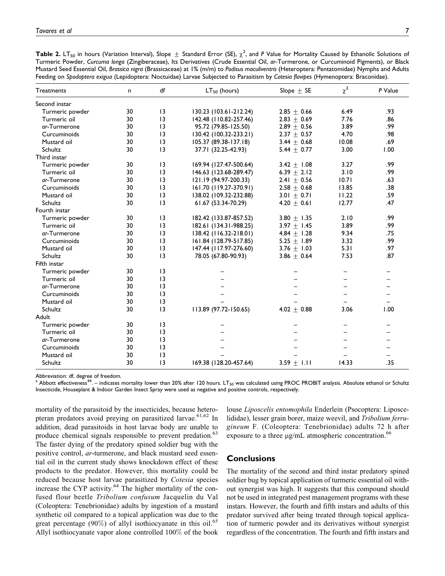<code>Table 2.</code> LT<sub>50</sub> in hours (Variation Interval), Slope  $\pm$  Standard Error (SE),  $\chi^2$ , and P Value for Mortality Caused by Ethanolic Solutions of Turmeric Powder, Curcuma longa (Zingiberaceae), Its Derivatives (Crude Essential Oil, ar-Turmerone, or Curcuminoid Pigments), or Black Mustard Seed Essential Oil, Brassica nigra (Brassicaceae) at 1% (m/m) to Podisus maculiventris (Heteroptera: Pentatomidae) Nymphs and Adults Feeding on Spodoptera exigua (Lepidoptera: Noctuidae) Larvae Subjected to Parasitism by Cotesia flavipes (Hymenoptera: Braconidae).

| Treatments      | n  | df              | $LT50$ (hours)         | Slope $\pm$ SE  | $\chi^2$ | P Value |
|-----------------|----|-----------------|------------------------|-----------------|----------|---------|
| Second instar   |    |                 |                        |                 |          |         |
| Turmeric powder | 30 | 3               | 130.23 (103.61-212.24) | $2.85 \pm 0.66$ | 6.49     | .93     |
| Turmeric oil    | 30 | 3               | 142.48 (110.82-257.46) | 2.83 $\pm$ 0.69 | 7.76     | .86     |
| ar-Turmerone    | 30 | 3               | 95.72 (79.85-125.50)   | $2.89 \pm 0.56$ | 3.89     | .99     |
| Curcuminoids    | 30 | 3               | 130.42 (100.32-233.21) | $2.37 \pm 0.57$ | 4.70     | .98     |
| Mustard oil     | 30 | 3               | 105.37 (89.38-137.18)  | $3.44 \pm 0.68$ | 10.08    | .69     |
| Schultz         | 30 | 3               | 37.71 (32.25-42.93)    | 5.44 $\pm$ 0.77 | 3.00     | 1.00    |
| Third instar    |    |                 |                        |                 |          |         |
| Turmeric powder | 30 | $\overline{13}$ | 169.94 (127.47-500.64) | 3.42 $\pm$ 1.08 | 3.27     | .99     |
| Turmeric oil    | 30 | $\overline{13}$ | 146.63 (123.68-289.47) | 6.39 $\pm$ 2.12 | 3.10     | .99     |
| ar-Turmerone    | 30 | 13              | 121.19 (94.97-200.33)  | 2.41 $\pm$ 0.56 | 10.71    | .63     |
| Curcuminoids    | 30 | $\overline{13}$ | 161.70 (119.27-370.91) | $2.58 \pm 0.68$ | 13.85    | .38     |
| Mustard oil     | 30 | 13              | 138.02 (109.32-232.88) | 3.01 $\pm$ 0.71 | 11.22    | .59     |
| Schultz         | 30 | 13              | 61.67 (53.34-70.29)    | 4.20 $\pm$ 0.61 | 12.77    | .47     |
| Fourth instar   |    |                 |                        |                 |          |         |
| Turmeric powder | 30 | $\overline{13}$ | 182.42 (133.87-857.52) | 3.80 $\pm$ 1.35 | 2.10     | .99     |
| Turmeric oil    | 30 | 13              | 182.61 (134.31-988.25) | 3.97 $\pm$ 1.45 | 3.89     | .99     |
| ar-Turmerone    | 30 | 13              | 138.42 (116.32-218.01) | 4.84 $\pm$ 1.28 | 9.34     | .75     |
| Curcuminoids    | 30 | 13              | 161.84 (128.79-517.85) | 5.25 $\pm$ 1.89 | 3.32     | .99     |
| Mustard oil     | 30 | 13              | 147.44 (117.97-276.60) | 3.76 $\pm$ 1.03 | 5.31     | .97     |
| Schultz         | 30 | 13              | 78.05 (67.80-90.93)    | $3.86 \pm 0.64$ | 7.53     | .87     |
| Fifth instar    |    |                 |                        |                 |          |         |
| Turmeric powder | 30 | $\overline{13}$ |                        |                 |          |         |
| Turmeric oil    | 30 | $\overline{13}$ |                        |                 |          |         |
| ar-Turmerone    | 30 | $\overline{13}$ |                        |                 |          |         |
| Curcuminoids    | 30 | $\overline{13}$ |                        |                 |          |         |
| Mustard oil     | 30 | 3               |                        |                 |          |         |
| Schultz         | 30 | $\overline{13}$ | 113.89 (97.72-150.65)  | 4.02 $\pm$ 0.88 | 3.06     | 1.00    |
| Adult           |    |                 |                        |                 |          |         |
| Turmeric powder | 30 | $\overline{13}$ |                        |                 |          |         |
| Turmeric oil    | 30 | $\overline{13}$ |                        |                 |          |         |
| ar-Turmerone    | 30 | $\overline{13}$ |                        |                 |          |         |
| Curcuminoids    | 30 | $\overline{13}$ |                        |                 |          |         |
| Mustard oil     | 30 | $\overline{13}$ |                        |                 |          |         |
| Schultz         | 30 | $\overline{13}$ | 169.38 (128.20-457.64) | $3.59 + 1.11$   | 14.33    | .35     |

Abbreviation: df, degree of freedom.

 $^\mathrm{a}$  Abbott effectiveness $^{44}$ . – indicates mortality lower than 20% after 120 hours. LT<sub>s0</sub> was calculated using PROC PROBIT analysis. Absolute ethanol or Schultz Insecticide, Houseplant & Indoor Garden Insect Spray were used as negative and positive controls, respectively.

mortality of the parasitoid by the insecticides, because heteropteran predators avoid preying on parasitized larvae.<sup>61,62</sup> In addition, dead parasitoids in host larvae body are unable to produce chemical signals responsible to prevent predation.<sup>63</sup> The faster dying of the predatory spined soldier bug with the positive control, ar-turmerone, and black mustard seed essential oil in the current study shows knockdown effect of these products to the predator. However, this mortality could be reduced because host larvae parasitized by Cotesia species increase the CYP activity. $64$  The higher mortality of the confused flour beetle Tribolium confusum Jacquelin du Val (Coleoptera: Tenebrionidae) adults by ingestion of a mustard synthetic oil compared to a topical application was due to the great percentage  $(90\%)$  of allyl isothiocyanate in this oil.<sup>65</sup> Allyl isothiocyanate vapor alone controlled 100% of the book

louse Liposcelis entomophila Enderlein (Psocoptera: Liposcelididae), lesser grain borer, maize weevil, and Tribolium ferrugineum F. (Coleoptera: Tenebrionidae) adults 72 h after exposure to a three  $\mu$ g/mL atmospheric concentration.<sup>66</sup>

# Conclusions

The mortality of the second and third instar predatory spined soldier bug by topical application of turmeric essential oil without synergist was high. It suggests that this compound should not be used in integrated pest management programs with these instars. However, the fourth and fifth instars and adults of this predator survived after being treated through topical application of turmeric powder and its derivatives without synergist regardless of the concentration. The fourth and fifth instars and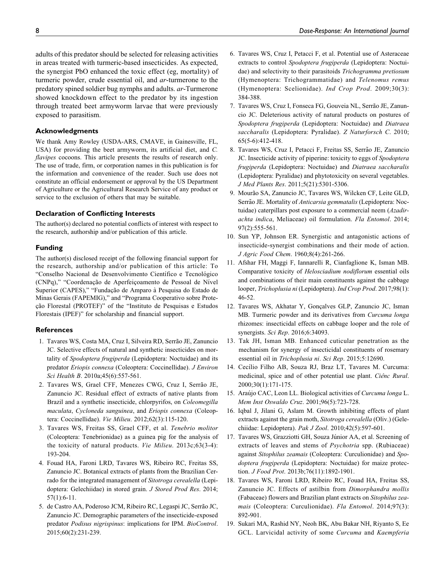adults of this predator should be selected for releasing activities in areas treated with turmeric-based insecticides. As expected, the synergist PbO enhanced the toxic effect (eg, mortality) of turmeric powder, crude essential oil, and ar-turmerone to the predatory spined soldier bug nymphs and adults. ar-Turmerone showed knockdown effect to the predator by its ingestion through treated beet armyworm larvae that were previously exposed to parasitism.

#### Acknowledgments

We thank Amy Rowley (USDA-ARS, CMAVE, in Gainesville, FL, USA) for providing the beet armyworm, its artificial diet, and C. flavipes cocoons. This article presents the results of research only. The use of trade, firm, or corporation names in this publication is for the information and convenience of the reader. Such use does not constitute an official endorsement or approval by the US Department of Agriculture or the Agricultural Research Service of any product or service to the exclusion of others that may be suitable.

#### Declaration of Conflicting Interests

The author(s) declared no potential conflicts of interest with respect to the research, authorship and/or publication of this article.

#### Funding

The author(s) disclosed receipt of the following financial support for the research, authorship and/or publication of this article: To "Conselho Nacional de Desenvolvimento Científico e Tecnológico (CNPq)," "Coordenação de Aperfeicoamento de Pessoal de Nível Superior (CAPES)," "Fundação de Amparo à Pesquisa do Estado de Minas Gerais (FAPEMIG)," and "Programa Cooperativo sobre Proteção Florestal (PROTEF)" of the "Instituto de Pesquisas e Estudos Florestais (IPEF)" for scholarship and financial support.

#### **References**

- 1. Tavares WS, Costa MA, Cruz I, Silveira RD, Serrão JE, Zanuncio JC. Selective effects of natural and synthetic insecticides on mortality of Spodoptera frugiperda (Lepidoptera: Noctuidae) and its predator Eriopis connexa (Coleoptera: Coccinellidae). J Environ Sci Health B. 2010a;45(6):557-561.
- 2. Tavares WS, Grael CFF, Menezes CWG, Cruz I, Serrão JE, Zanuncio JC. Residual effect of extracts of native plants from Brazil and a synthetic insecticide, chlorpyrifos, on Coleomegilla maculata, Cycloneda sanguinea, and Eriopis connexa (Coleoptera: Coccinellidae). Vie Milieu. 2012;62(3):115-120.
- 3. Tavares WS, Freitas SS, Grael CFF, et al. Tenebrio molitor (Coleoptera: Tenebrionidae) as a guinea pig for the analysis of the toxicity of natural products. Vie Milieu. 2013c;63(3-4): 193-204.
- 4. Fouad HA, Faroni LRD, Tavares WS, Ribeiro RC, Freitas SS, Zanuncio JC. Botanical extracts of plants from the Brazilian Cerrado for the integrated management of Sitotroga cerealella (Lepidoptera: Gelechiidae) in stored grain. J Stored Prod Res. 2014; 57(1):6-11.
- 5. de Castro AA, Poderoso JCM, Ribeiro RC, Legaspi JC, Serrão JC, Zanuncio JC. Demographic parameters of the insecticide-exposed predator Podisus nigrispinus: implications for IPM. BioControl. 2015;60(2):231-239.
- 6. Tavares WS, Cruz I, Petacci F, et al. Potential use of Asteraceae extracts to control Spodoptera frugiperda (Lepidoptera: Noctuidae) and selectivity to their parasitoids Trichogramma pretiosum (Hymenoptera: Trichogrammatidae) and Telenomus remus (Hymenoptera: Scelionidae). Ind Crop Prod. 2009;30(3): 384-388.
- 7. Tavares WS, Cruz I, Fonseca FG, Gouveia NL, Serrão JE, Zanuncio JC. Deleterious activity of natural products on postures of Spodoptera frugiperda (Lepidoptera: Noctuidae) and Diatraea saccharalis (Lepidoptera: Pyralidae). Z Naturforsch C. 2010; 65(5-6):412-418.
- 8. Tavares WS, Cruz I, Petacci F, Freitas SS, Serrão JE, Zanuncio JC. Insecticide activity of piperine: toxicity to eggs of Spodoptera frugiperda (Lepidoptera: Noctuidae) and Diatraea saccharalis (Lepidoptera: Pyralidae) and phytotoxicity on several vegetables. J Med Plants Res. 2011;5(21):5301-5306.
- 9. Mourão SA, Zanuncio JC, Tavares WS, Wilcken CF, Leite GLD, Serrão JE. Mortality of *Anticarsia gemmatalis* (Lepidoptera: Noctuidae) caterpillars post exposure to a commercial neem (Azadirachta indica, Meliaceae) oil formulation. Fla Entomol. 2014; 97(2):555-561.
- 10. Sun YP, Johnson ER. Synergistic and antagonistic actions of insecticide-synergist combinations and their mode of action. J Agric Food Chem. 1960;8(4):261-266.
- 11. Afshar FH, Maggi F, Iannarelli R, Cianfaglione K, Isman MB. Comparative toxicity of Helosciadium nodiflorum essential oils and combinations of their main constituents against the cabbage looper, Trichoplusia ni (Lepidoptera). Ind Crop Prod. 2017;98(1): 46-52.
- 12. Tavares WS, Akhatar Y, Gonçalves GLP, Zanuncio JC, Isman MB. Turmeric powder and its derivatives from Curcuma longa rhizomes: insecticidal effects on cabbage looper and the role of synergists. Sci Rep. 2016;6:34093.
- 13. Tak JH, Isman MB. Enhanced cuticular penetration as the mechanism for synergy of insecticidal constituents of rosemary essential oil in Trichoplusia ni. Sci Rep. 2015;5:12690.
- 14. Cecílio Filho AB, Souza RJ, Braz LT, Tavares M. Curcuma: medicinal, spice and of other potential use plant. Ciênc Rural. 2000;30(1):171-175.
- 15. Araújo CAC, Leon LL. Biological activities of Curcuma longa L. Mem Inst Oswaldo Cruz. 2001;96(5):723-728.
- 16. Iqbal J, Jilani G, Aslam M. Growth inhibiting effects of plant extracts against the grain moth, Sitotroga cerealella (Oliv.) (Gelechiidae: Lepidoptera). Pak J Zool. 2010;42(5):597-601.
- 17. Tavares WS, Grazziotti GH, Souza Júnior AA, et al. Screening of extracts of leaves and stems of Psychotria spp. (Rubiaceae) against Sitophilus zeamais (Coleoptera: Curculionidae) and Spodoptera frugiperda (Lepidoptera: Noctuidae) for maize protection. J Food Prot. 2013b;76(11):1892-1901.
- 18. Tavares WS, Faroni LRD, Ribeiro RC, Fouad HA, Freitas SS, Zanuncio JC. Effects of astilbin from Dimorphandra mollis (Fabaceae) flowers and Brazilian plant extracts on Sitophilus zeamais (Coleoptera: Curculionidae). Fla Entomol. 2014;97(3): 892-901.
- 19. Sukari MA, Rashid NY, Neoh BK, Abu Bakar NH, Riyanto S, Ee GCL. Larvicidal activity of some Curcuma and Kaempferia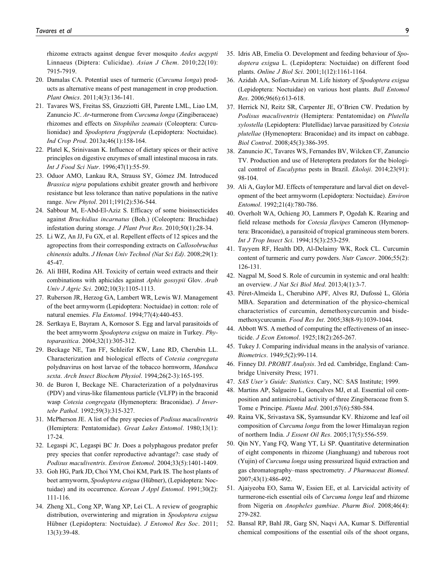rhizome extracts against dengue fever mosquito Aedes aegypti Linnaeus (Diptera: Culicidae). Asian J Chem. 2010;22(10): 7915-7919.

- 20. Damalas CA. Potential uses of turmeric (Curcuma longa) products as alternative means of pest management in crop production. Plant Omics. 2011;4(3):136-141.
- 21. Tavares WS, Freitas SS, Grazziotti GH, Parente LML, Liao LM, Zanuncio JC. Ar-turmerone from Curcuma longa (Zingiberaceae) rhizomes and effects on Sitophilus zeamais (Coleoptera: Curculionidae) and Spodoptera frugiperda (Lepidoptera: Noctuidae). Ind Crop Prod. 2013a;46(1):158-164.
- 22. Platel K, Srinivasan K. Influence of dietary spices or their active principles on digestive enzymes of small intestinal mucosa in rats. Int J Food Sci Nutr. 1996;47(1):55-59.
- 23. Oduor AMO, Lankau RA, Strauss SY, Gómez JM. Introduced Brassica nigra populations exhibit greater growth and herbivore resistance but less tolerance than native populations in the native range. New Phytol. 2011;191(2):536-544.
- 24. Sabbour M, E-Abd-El-Aziz S. Efficacy of some bioinsecticides against Bruchidius incarnatus (Boh.) (Coleoptera: Bruchidae) infestation during storage. J Plant Prot Res. 2010;50(1):28-34.
- 25. Li WZ, An JJ, Fu GX, et al. Repellent effects of 12 spices and the agropectins from their corresponding extracts on Callosobruchus chinensis adults. J Henan Univ Technol (Nat Sci Ed). 2008;29(1): 45-47.
- 26. Ali IHH, Rodina AH. Toxicity of certain weed extracts and their combinations with aphicides against Aphis gossypii Glov. Arab Univ J Agric Sci. 2002;10(3):1105-1113.
- 27. Ruberson JR, Herzog GA, Lambert WR, Lewis WJ. Management of the beet armyworm (Lepidoptera: Noctuidae) in cotton: role of natural enemies. Fla Entomol. 1994;77(4):440-453.
- 28. Sertkaya E, Bayram A, Kornosor S. Egg and larval parasitoids of the beet armyworm Spodoptera exigua on maize in Turkey. Phytoparasitica. 2004;32(1):305-312.
- 29. Beckage NE, Tan FF, Schleifer KW, Lane RD, Cherubin LL. Characterization and biological effects of Cotesia congregata polydnavirus on host larvae of the tobacco hornworm, Manduca sexta. Arch Insect Biochem Physiol. 1994;26(2-3):165-195.
- 30. de Buron I, Beckage NE. Characterization of a polydnavirus (PDV) and virus-like filamentous particle (VLFP) in the braconid wasp Cotesia congregata (Hymenoptera: Braconidae). J Invertebr Pathol. 1992;59(3):315-327.
- 31. McPherson JE. A list of the prey species of Podisus maculiventris (Hemiptera: Pentatomidae). Great Lakes Entomol. 1980;13(1): 17-24.
- 32. Legaspi JC, Legaspi BC Jr. Does a polyphagous predator prefer prey species that confer reproductive advantage?: case study of Podisus maculiventris. Environ Entomol. 2004;33(5):1401-1409.
- 33. Goh HG, Park JD, Choi YM, Choi KM, Park IS. The host plants of beet armyworm, Spodoptera exigua (Hübner), (Lepidoptera: Noctuidae) and its occurrence. Korean J Appl Entomol. 1991;30(2): 111-116.
- 34. Zheng XL, Cong XP, Wang XP, Lei CL. A review of geographic distribution, overwintering and migration in Spodoptera exigua Hübner (Lepidoptera: Noctuidae). J Entomol Res Soc. 2011; 13(3):39-48.
- 35. Idris AB, Emelia O. Development and feeding behaviour of Spodoptera exigua L. (Lepidoptera: Noctuidae) on different food plants. Online J Biol Sci. 2001;1(12):1161-1164.
- 36. Azidah AA, Sofian-Azirun M. Life history of Spodoptera exigua (Lepidoptera: Noctuidae) on various host plants. Bull Entomol Res. 2006;96(6):613-618.
- 37. Herrick NJ, Reitz SR, Carpenter JE, O'Brien CW. Predation by Podisus maculiventris (Hemiptera: Pentatomidae) on Plutella xylostella (Lepidoptera: Plutellidae) larvae parasitized by Cotesia plutellae (Hymenoptera: Braconidae) and its impact on cabbage. Biol Control. 2008;45(3):386-395.
- 38. Zanuncio JC, Tavares WS, Fernandes BV, Wilcken CF, Zanuncio TV. Production and use of Heteroptera predators for the biological control of Eucalyptus pests in Brazil. Ekoloji. 2014;23(91): 98-104.
- 39. Ali A, Gaylor MJ. Effects of temperature and larval diet on development of the beet armyworm (Lepidoptera: Noctuidae). Environ Entomol. 1992;21(4):780-786.
- 40. Overholt WA, Ochieng JO, Lammers P, Ogedah K. Rearing and field release methods for Cotesia flavipes Cameron (Hymenoptera: Braconidae), a parasitoid of tropical gramineous stem borers. Int J Trop Insect Sci. 1994;15(3):253-259.
- 41. Tayyem RF, Health DD, Al-Delaimy WK, Rock CL. Curcumin content of turmeric and curry powders. Nutr Cancer. 2006;55(2): 126-131.
- 42. Nagpal M, Sood S. Role of curcumin in systemic and oral health: an overview. J Nat Sci Biol Med. 2013;4(1):3-7.
- 43. Péret-Almeida L, Cherubino APF, Alves RJ, Dufossé L, Glória MBA. Separation and determination of the physico-chemical characteristics of curcumin, demethoxycurcumin and bisdemethoxycurcumin. Food Res Int. 2005;38(8-9):1039-1044.
- 44. Abbott WS. A method of computing the effectiveness of an insecticide. J Econ Entomol. 1925;18(2):265-267.
- 45. Tukey J. Comparing individual means in the analysis of variance. Biometrics. 1949;5(2):99-114.
- 46. Finney DJ. PROBIT Analysis. 3rd ed. Cambridge, England: Cambridge University Press; 1971.
- 47. SAS User's Guide: Statistics. Cary, NC: SAS Institute; 1999.
- 48. Martins AP, Salgueiro L, Gonçalves MJ, et al. Essential oil composition and antimicrobial activity of three Zingiberaceae from S. Tome e Principe. Planta Med. 2001;67(6):580-584.
- 49. Raina VK, Srivastava SK, Syamsundar KV. Rhizome and leaf oil composition of Curcuma longa from the lower Himalayan region of northern India. J Essent Oil Res. 2005;17(5):556-559.
- 50. Qin NY, Yang FQ, Wang YT, Li SP. Quantitative determination of eight components in rhizome (Jianghuang) and tuberous root (Yujin) of Curcuma longa using pressurized liquid extraction and gas chromatography–mass spectrometry. J Pharmaceut Biomed. 2007;43(1):486-492.
- 51. Ajaiyeoba EO, Sama W, Essien EE, et al. Larvicidal activity of turmerone-rich essential oils of Curcuma longa leaf and rhizome from Nigeria on Anopheles gambiae. Pharm Biol. 2008;46(4): 279-282.
- 52. Bansal RP, Bahl JR, Garg SN, Naqvi AA, Kumar S. Differential chemical compositions of the essential oils of the shoot organs,